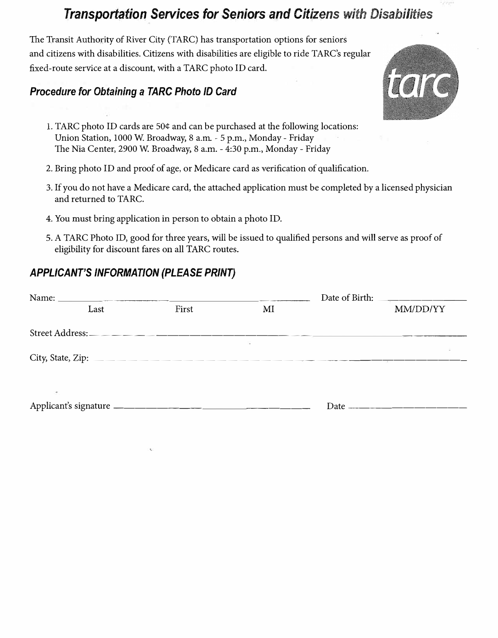# *Transportation Services* **for** *Seniors and Citizens with Disabilities*

The Transit Authority of River City (TARC) has transportation options for seniors and citizens with disabilities. Citizens with disabilities are eligible to ride TARC's regular fixed-route service at a discount, with a TARC photo ID card.

#### *Procedure for Obtaining* **a** *TARC Photo ID Card*



- 1. TARC photo ID cards are 50¢ and can be purchased at the following locations: Union Station, 1000 W. Broadway, 8 a.m. - 5 p.m., Monday - Friday The Nia Center, 2900 W. Broadway, 8 a.m. - 4:30 p.m., Monday - Friday
- 2. Bring photo ID and proof of age, or Medicare card as verification of qualification.
- 3. If you do not have a Medicare card, the attached application must be completed by a licensed physician and returned to TARC.
- 4. You must bring application in person to obtain a photo ID.
- 5. A TARC Photo ID, good for three years, will be issued to qualified persons and will serve as proof of eligibility for discount fares on all TARC routes.

## *APPLICANT'S INFORMATION (PLEASE PRINT)*

| Name:<br><u> 1980 - Jan Barat, martin martin amerikan bashkan da shekara ta 1980 - An tsa masa ta 1980 - An tsa masa ta 19</u> | Date of Birth: |    |          |
|--------------------------------------------------------------------------------------------------------------------------------|----------------|----|----------|
| Last                                                                                                                           | First          | MI | MM/DD/YY |
|                                                                                                                                |                |    |          |
|                                                                                                                                |                | S. |          |
| City, State, Zip:                                                                                                              |                |    |          |
|                                                                                                                                |                |    |          |
| ×                                                                                                                              |                |    |          |
|                                                                                                                                |                |    |          |